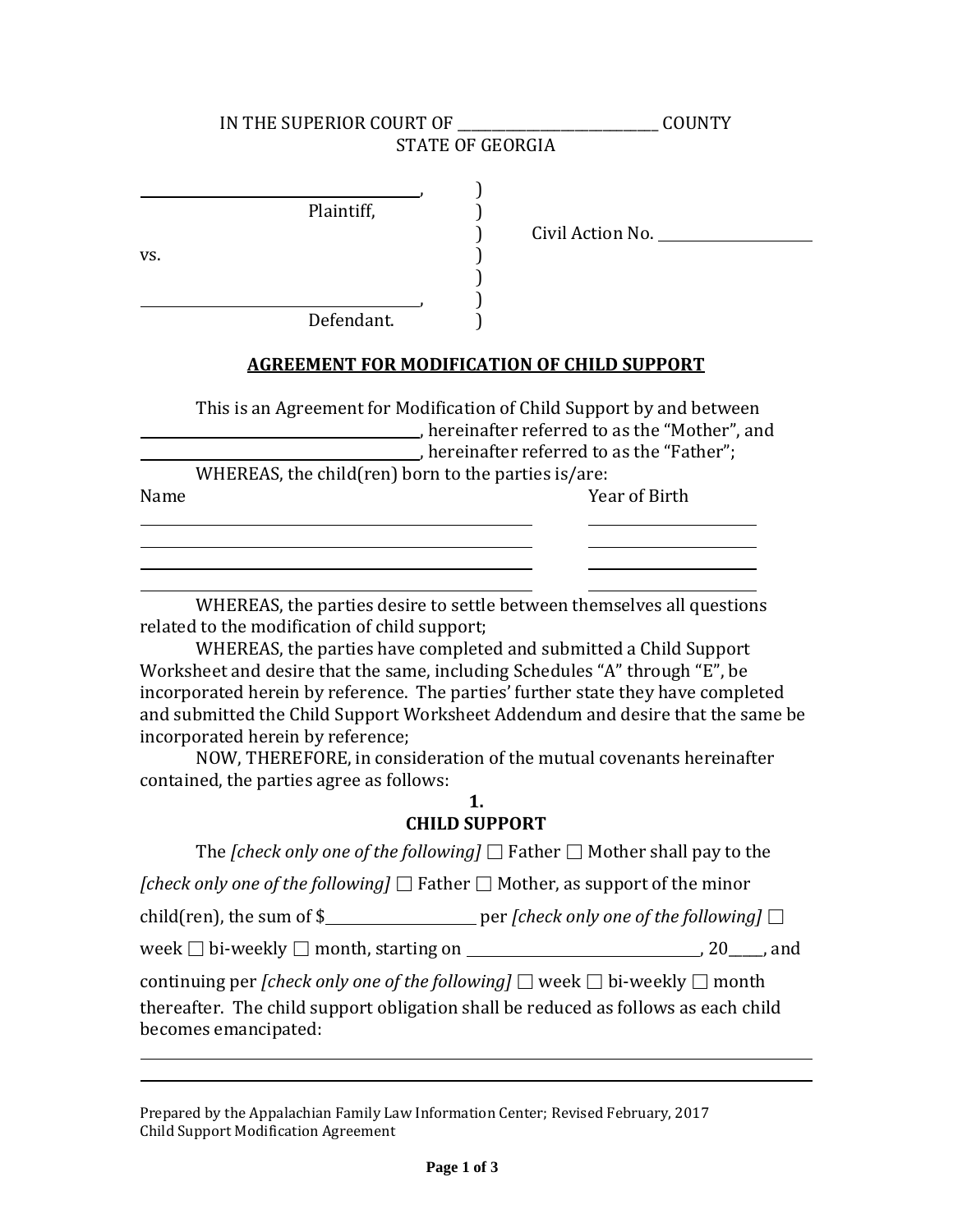| IN THE SUPERIOR COURT OF                                                                                                                                                                                                                                                                                                                                                                                                                          | <b>COUNTY</b>                                     |
|---------------------------------------------------------------------------------------------------------------------------------------------------------------------------------------------------------------------------------------------------------------------------------------------------------------------------------------------------------------------------------------------------------------------------------------------------|---------------------------------------------------|
| <b>STATE OF GEORGIA</b>                                                                                                                                                                                                                                                                                                                                                                                                                           |                                                   |
| Plaintiff,<br>VS.                                                                                                                                                                                                                                                                                                                                                                                                                                 | Civil Action No.                                  |
| Defendant.                                                                                                                                                                                                                                                                                                                                                                                                                                        |                                                   |
| <b>AGREEMENT FOR MODIFICATION OF CHILD SUPPORT</b>                                                                                                                                                                                                                                                                                                                                                                                                |                                                   |
| This is an Agreement for Modification of Child Support by and between<br>Thereinafter referred to as the "Mother", and<br>WHEREAS, the child(ren) born to the parties is/are:                                                                                                                                                                                                                                                                     | $\Box$ , hereinafter referred to as the "Father"; |
| Name                                                                                                                                                                                                                                                                                                                                                                                                                                              | Year of Birth                                     |
|                                                                                                                                                                                                                                                                                                                                                                                                                                                   |                                                   |
| WHEREAS, the parties desire to settle between themselves all questions<br>related to the modification of child support;<br>WHEREAS, the parties have completed and submitted a Child Support<br>Worksheet and desire that the same, including Schedules "A" through "E", be<br>incorporated herein by reference. The parties' further state they have completed<br>and submitted the Child Support Worksheet Addendum and desire that the same be |                                                   |

incorporated herein by reference; NOW, THEREFORE, in consideration of the mutual covenants hereinafter

contained, the parties agree as follows:

| 1.                   |
|----------------------|
| <b>CHILD SUPPORT</b> |

The *[check only one of the following]*  $\Box$  Father  $\Box$  Mother shall pay to the *[check only one of the following]*  $\Box$  Father  $\Box$  Mother, as support of the minor child(ren), the sum of  $\frac{1}{2}$  per *[check only one of the following]*  $\Box$ week  $\Box$  bi-weekly  $\Box$  month, starting on  $\Box$   $\Box$   $\Box$   $\Box$   $\Box$  and continuing per *[check only one of the following]*  $\Box$  week  $\Box$  bi-weekly  $\Box$  month thereafter. The child support obligation shall be reduced as follows as each child becomes emancipated:

Prepared by the Appalachian Family Law Information Center; Revised February, 2017 Child Support Modification Agreement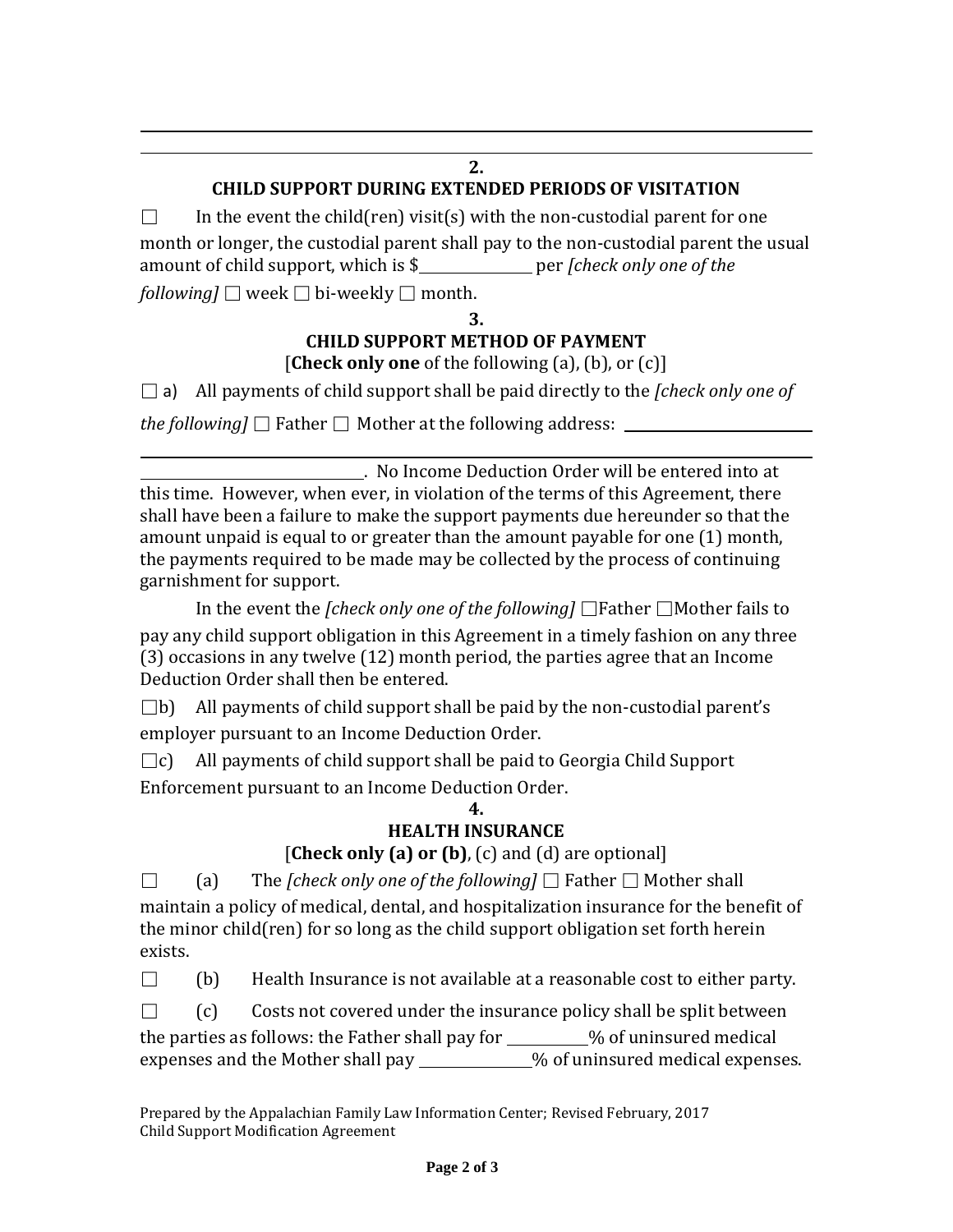## **2.**

## **CHILD SUPPORT DURING EXTENDED PERIODS OF VISITATION**

 $\Box$  In the event the child(ren) visit(s) with the non-custodial parent for one month or longer, the custodial parent shall pay to the non-custodial parent the usual amount of child support, which is \$ per *[check only one of the following*]  $\Box$  week  $\Box$  bi-weekly  $\Box$  month.

**3.**

# **CHILD SUPPORT METHOD OF PAYMENT** [**Check only one** of the following (a), (b), or (c)]

□ a) All payments of child support shall be paid directly to the *[check only one of* 

*the following*  $\Box$  Father  $\Box$  Mother at the following address:

. No Income Deduction Order will be entered into at this time. However, when ever, in violation of the terms of this Agreement, there shall have been a failure to make the support payments due hereunder so that the amount unpaid is equal to or greater than the amount payable for one (1) month, the payments required to be made may be collected by the process of continuing garnishment for support.

In the event the *[check only one of the following]* □Father □Mother fails to pay any child support obligation in this Agreement in a timely fashion on any three (3) occasions in any twelve (12) month period, the parties agree that an Income Deduction Order shall then be entered.

 $\Box$ b) All payments of child support shall be paid by the non-custodial parent's employer pursuant to an Income Deduction Order.

 $\Box$ c) All payments of child support shall be paid to Georgia Child Support Enforcement pursuant to an Income Deduction Order.

#### **4. HEALTH INSURANCE**

[**Check only (a) or (b)**, (c) and (d) are optional]

□ (a) The *[check only one of the following]* □ Father □ Mother shall maintain a policy of medical, dental, and hospitalization insurance for the benefit of the minor child(ren) for so long as the child support obligation set forth herein exists.

 $\Box$  (b) Health Insurance is not available at a reasonable cost to either party.

 $\Box$  (c) Costs not covered under the insurance policy shall be split between the parties as follows: the Father shall pay for  $\%$  of uninsured medical expenses and the Mother shall pay \_\_\_\_\_\_\_\_\_\_\_% of uninsured medical expenses.

Prepared by the Appalachian Family Law Information Center; Revised February, 2017 Child Support Modification Agreement